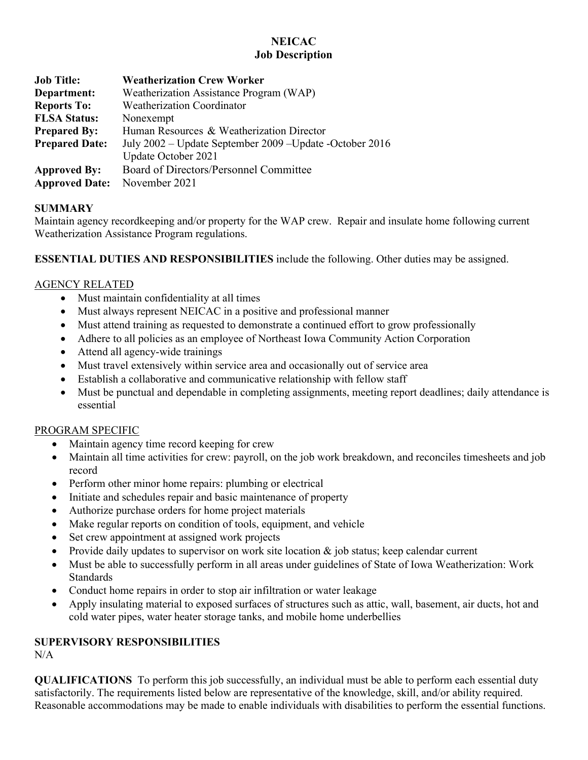## **NEICAC Job Description**

| <b>Job Title:</b>     | <b>Weatherization Crew Worker</b>                         |
|-----------------------|-----------------------------------------------------------|
| Department:           | Weatherization Assistance Program (WAP)                   |
| <b>Reports To:</b>    | <b>Weatherization Coordinator</b>                         |
| <b>FLSA Status:</b>   | Nonexempt                                                 |
| <b>Prepared By:</b>   | Human Resources & Weatherization Director                 |
| <b>Prepared Date:</b> | July 2002 – Update September 2009 – Update - October 2016 |
|                       | Update October 2021                                       |
| <b>Approved By:</b>   | Board of Directors/Personnel Committee                    |
| <b>Approved Date:</b> | November 2021                                             |

## **SUMMARY**

Maintain agency recordkeeping and/or property for the WAP crew. Repair and insulate home following current Weatherization Assistance Program regulations.

**ESSENTIAL DUTIES AND RESPONSIBILITIES** include the following. Other duties may be assigned.

## AGENCY RELATED

- Must maintain confidentiality at all times
- Must always represent NEICAC in a positive and professional manner
- Must attend training as requested to demonstrate a continued effort to grow professionally
- Adhere to all policies as an employee of Northeast Iowa Community Action Corporation
- Attend all agency-wide trainings
- Must travel extensively within service area and occasionally out of service area
- Establish a collaborative and communicative relationship with fellow staff
- Must be punctual and dependable in completing assignments, meeting report deadlines; daily attendance is essential

# PROGRAM SPECIFIC

- Maintain agency time record keeping for crew
- Maintain all time activities for crew: payroll, on the job work breakdown, and reconciles timesheets and job record
- Perform other minor home repairs: plumbing or electrical
- Initiate and schedules repair and basic maintenance of property
- Authorize purchase orders for home project materials
- Make regular reports on condition of tools, equipment, and vehicle
- Set crew appointment at assigned work projects
- Provide daily updates to supervisor on work site location  $\&$  job status; keep calendar current
- Must be able to successfully perform in all areas under guidelines of State of Iowa Weatherization: Work **Standards**
- Conduct home repairs in order to stop air infiltration or water leakage
- Apply insulating material to exposed surfaces of structures such as attic, wall, basement, air ducts, hot and cold water pipes, water heater storage tanks, and mobile home underbellies

# **SUPERVISORY RESPONSIBILITIES**

N/A

**QUALIFICATIONS** To perform this job successfully, an individual must be able to perform each essential duty satisfactorily. The requirements listed below are representative of the knowledge, skill, and/or ability required. Reasonable accommodations may be made to enable individuals with disabilities to perform the essential functions.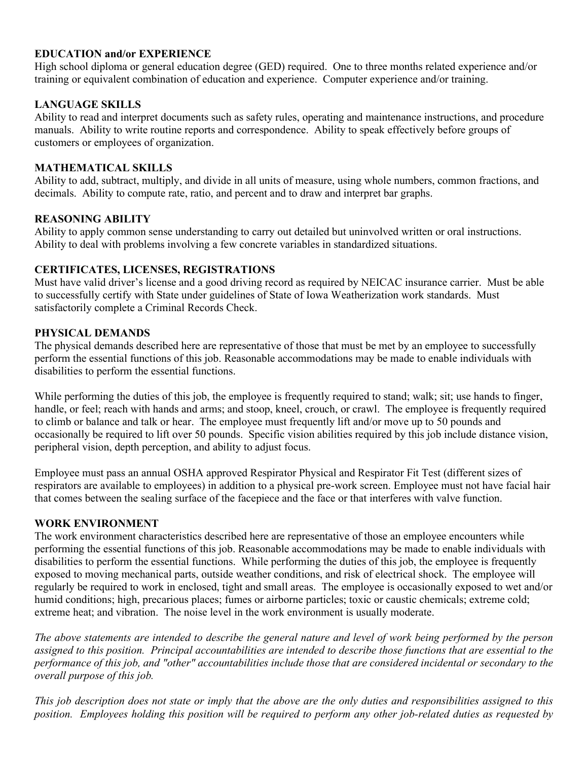#### **EDUCATION and/or EXPERIENCE**

High school diploma or general education degree (GED) required. One to three months related experience and/or training or equivalent combination of education and experience. Computer experience and/or training.

## **LANGUAGE SKILLS**

Ability to read and interpret documents such as safety rules, operating and maintenance instructions, and procedure manuals. Ability to write routine reports and correspondence. Ability to speak effectively before groups of customers or employees of organization.

#### **MATHEMATICAL SKILLS**

Ability to add, subtract, multiply, and divide in all units of measure, using whole numbers, common fractions, and decimals. Ability to compute rate, ratio, and percent and to draw and interpret bar graphs.

#### **REASONING ABILITY**

Ability to apply common sense understanding to carry out detailed but uninvolved written or oral instructions. Ability to deal with problems involving a few concrete variables in standardized situations.

#### **CERTIFICATES, LICENSES, REGISTRATIONS**

Must have valid driver's license and a good driving record as required by NEICAC insurance carrier. Must be able to successfully certify with State under guidelines of State of Iowa Weatherization work standards. Must satisfactorily complete a Criminal Records Check.

#### **PHYSICAL DEMANDS**

The physical demands described here are representative of those that must be met by an employee to successfully perform the essential functions of this job. Reasonable accommodations may be made to enable individuals with disabilities to perform the essential functions.

While performing the duties of this job, the employee is frequently required to stand; walk; sit; use hands to finger, handle, or feel; reach with hands and arms; and stoop, kneel, crouch, or crawl. The employee is frequently required to climb or balance and talk or hear. The employee must frequently lift and/or move up to 50 pounds and occasionally be required to lift over 50 pounds. Specific vision abilities required by this job include distance vision, peripheral vision, depth perception, and ability to adjust focus.

Employee must pass an annual OSHA approved Respirator Physical and Respirator Fit Test (different sizes of respirators are available to employees) in addition to a physical pre-work screen. Employee must not have facial hair that comes between the sealing surface of the facepiece and the face or that interferes with valve function.

#### **WORK ENVIRONMENT**

The work environment characteristics described here are representative of those an employee encounters while performing the essential functions of this job. Reasonable accommodations may be made to enable individuals with disabilities to perform the essential functions. While performing the duties of this job, the employee is frequently exposed to moving mechanical parts, outside weather conditions, and risk of electrical shock. The employee will regularly be required to work in enclosed, tight and small areas. The employee is occasionally exposed to wet and/or humid conditions; high, precarious places; fumes or airborne particles; toxic or caustic chemicals; extreme cold; extreme heat; and vibration. The noise level in the work environment is usually moderate.

*The above statements are intended to describe the general nature and level of work being performed by the person assigned to this position. Principal accountabilities are intended to describe those functions that are essential to the performance of this job, and "other" accountabilities include those that are considered incidental or secondary to the overall purpose of this job.*

*This job description does not state or imply that the above are the only duties and responsibilities assigned to this position. Employees holding this position will be required to perform any other job-related duties as requested by*